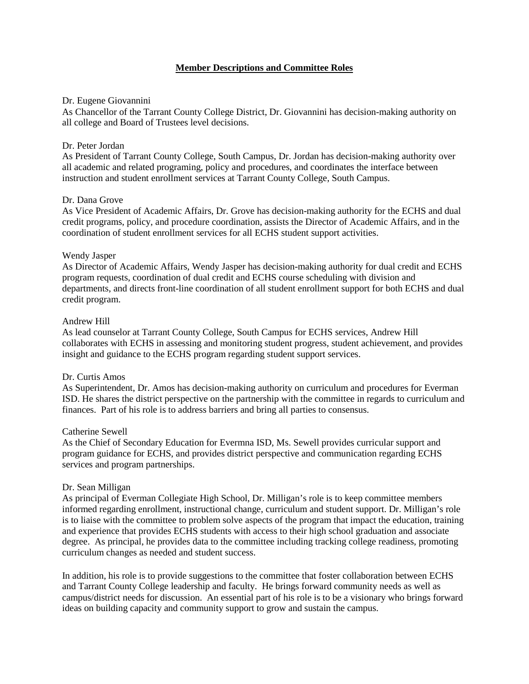# **Member Descriptions and Committee Roles**

## Dr. Eugene Giovannini

As Chancellor of the Tarrant County College District, Dr. Giovannini has decision-making authority on all college and Board of Trustees level decisions.

## Dr. Peter Jordan

As President of Tarrant County College, South Campus, Dr. Jordan has decision-making authority over all academic and related programing, policy and procedures, and coordinates the interface between instruction and student enrollment services at Tarrant County College, South Campus.

## Dr. Dana Grove

As Vice President of Academic Affairs, Dr. Grove has decision-making authority for the ECHS and dual credit programs, policy, and procedure coordination, assists the Director of Academic Affairs, and in the coordination of student enrollment services for all ECHS student support activities.

### Wendy Jasper

As Director of Academic Affairs, Wendy Jasper has decision-making authority for dual credit and ECHS program requests, coordination of dual credit and ECHS course scheduling with division and departments, and directs front-line coordination of all student enrollment support for both ECHS and dual credit program.

## Andrew Hill

As lead counselor at Tarrant County College, South Campus for ECHS services, Andrew Hill collaborates with ECHS in assessing and monitoring student progress, student achievement, and provides insight and guidance to the ECHS program regarding student support services.

### Dr. Curtis Amos

As Superintendent, Dr. Amos has decision-making authority on curriculum and procedures for Everman ISD. He shares the district perspective on the partnership with the committee in regards to curriculum and finances. Part of his role is to address barriers and bring all parties to consensus.

### Catherine Sewell

As the Chief of Secondary Education for Evermna ISD, Ms. Sewell provides curricular support and program guidance for ECHS, and provides district perspective and communication regarding ECHS services and program partnerships.

### Dr. Sean Milligan

As principal of Everman Collegiate High School, Dr. Milligan's role is to keep committee members informed regarding enrollment, instructional change, curriculum and student support. Dr. Milligan's role is to liaise with the committee to problem solve aspects of the program that impact the education, training and experience that provides ECHS students with access to their high school graduation and associate degree. As principal, he provides data to the committee including tracking college readiness, promoting curriculum changes as needed and student success.

In addition, his role is to provide suggestions to the committee that foster collaboration between ECHS and Tarrant County College leadership and faculty. He brings forward community needs as well as campus/district needs for discussion. An essential part of his role is to be a visionary who brings forward ideas on building capacity and community support to grow and sustain the campus.